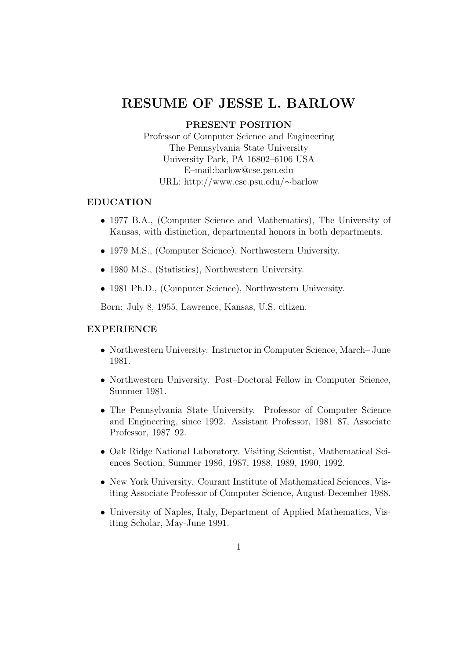# RESUME OF JESSE L. BARLOW

# PRESENT POSITION

Professor of Computer Science and Engineering The Pennsylvania State University University Park, PA 16802–6106 USA E–mail:barlow@cse.psu.edu URL: http://www.cse.psu.edu/∼barlow

## EDUCATION

- 1977 B.A., (Computer Science and Mathematics), The University of Kansas, with distinction, departmental honors in both departments.
- 1979 M.S., (Computer Science), Northwestern University.
- 1980 M.S., (Statistics), Northwestern University.
- 1981 Ph.D., (Computer Science), Northwestern University.

Born: July 8, 1955, Lawrence, Kansas, U.S. citizen.

## EXPERIENCE

- Northwestern University. Instructor in Computer Science, March– June 1981.
- Northwestern University. Post–Doctoral Fellow in Computer Science, Summer 1981.
- The Pennsylvania State University. Professor of Computer Science and Engineering, since 1992. Assistant Professor, 1981–87, Associate Professor, 1987–92.
- Oak Ridge National Laboratory. Visiting Scientist, Mathematical Sciences Section, Summer 1986, 1987, 1988, 1989, 1990, 1992.
- New York University. Courant Institute of Mathematical Sciences, Visiting Associate Professor of Computer Science, August-December 1988.
- University of Naples, Italy, Department of Applied Mathematics, Visiting Scholar, May-June 1991.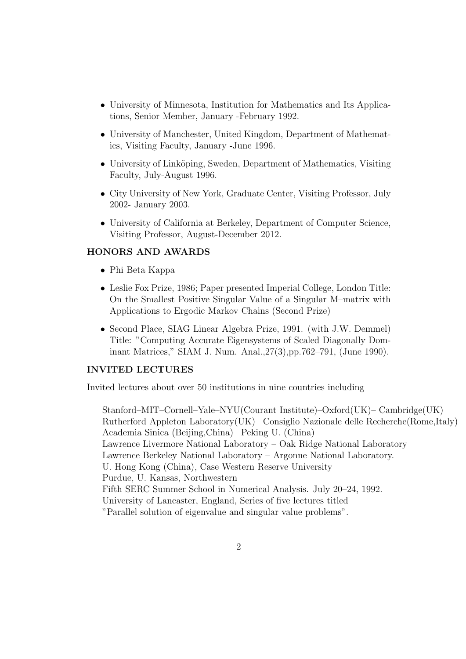- University of Minnesota, Institution for Mathematics and Its Applications, Senior Member, January -February 1992.
- University of Manchester, United Kingdom, Department of Mathematics, Visiting Faculty, January -June 1996.
- University of Linköping, Sweden, Department of Mathematics, Visiting Faculty, July-August 1996.
- City University of New York, Graduate Center, Visiting Professor, July 2002- January 2003.
- University of California at Berkeley, Department of Computer Science, Visiting Professor, August-December 2012.

## HONORS AND AWARDS

- Phi Beta Kappa
- Leslie Fox Prize, 1986; Paper presented Imperial College, London Title: On the Smallest Positive Singular Value of a Singular M–matrix with Applications to Ergodic Markov Chains (Second Prize)
- Second Place, SIAG Linear Algebra Prize, 1991. (with J.W. Demmel) Title: "Computing Accurate Eigensystems of Scaled Diagonally Dominant Matrices," SIAM J. Num. Anal.,27(3),pp.762–791, (June 1990).

## INVITED LECTURES

Invited lectures about over 50 institutions in nine countries including

Stanford–MIT–Cornell–Yale–NYU(Courant Institute)–Oxford(UK)– Cambridge(UK) Rutherford Appleton Laboratory(UK)– Consiglio Nazionale delle Recherche(Rome,Italy) Academia Sinica (Beijing,China)– Peking U. (China) Lawrence Livermore National Laboratory – Oak Ridge National Laboratory Lawrence Berkeley National Laboratory – Argonne National Laboratory. U. Hong Kong (China), Case Western Reserve University Purdue, U. Kansas, Northwestern Fifth SERC Summer School in Numerical Analysis. July 20–24, 1992. University of Lancaster, England, Series of five lectures titled "Parallel solution of eigenvalue and singular value problems".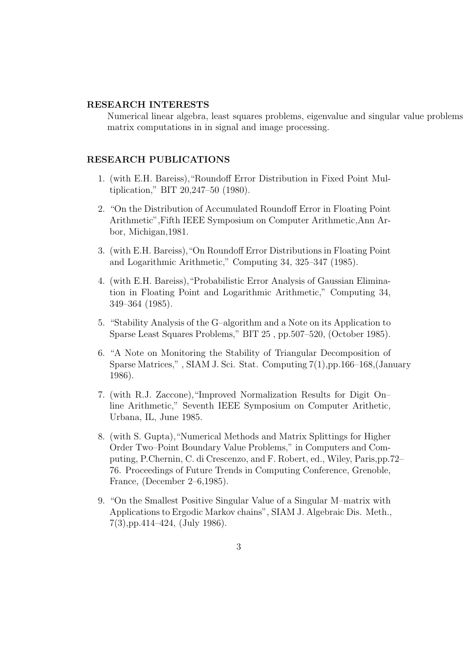#### RESEARCH INTERESTS

Numerical linear algebra, least squares problems, eigenvalue and singular value problems matrix computations in in signal and image processing.

## RESEARCH PUBLICATIONS

- 1. (with E.H. Bareiss),"Roundoff Error Distribution in Fixed Point Multiplication," BIT 20,247–50 (1980).
- 2. "On the Distribution of Accumulated Roundoff Error in Floating Point Arithmetic",Fifth IEEE Symposium on Computer Arithmetic,Ann Arbor, Michigan,1981.
- 3. (with E.H. Bareiss),"On Roundoff Error Distributions in Floating Point and Logarithmic Arithmetic," Computing 34, 325–347 (1985).
- 4. (with E.H. Bareiss),"Probabilistic Error Analysis of Gaussian Elimination in Floating Point and Logarithmic Arithmetic," Computing 34, 349–364 (1985).
- 5. "Stability Analysis of the G–algorithm and a Note on its Application to Sparse Least Squares Problems," BIT 25 , pp.507–520, (October 1985).
- 6. "A Note on Monitoring the Stability of Triangular Decomposition of Sparse Matrices," , SIAM J. Sci. Stat. Computing 7(1),pp.166–168,(January 1986).
- 7. (with R.J. Zaccone),"Improved Normalization Results for Digit On– line Arithmetic," Seventh IEEE Symposium on Computer Arithetic, Urbana, IL, June 1985.
- 8. (with S. Gupta),"Numerical Methods and Matrix Splittings for Higher Order Two–Point Boundary Value Problems," in Computers and Computing, P.Chernin, C. di Crescenzo, and F. Robert, ed., Wiley, Paris,pp.72– 76. Proceedings of Future Trends in Computing Conference, Grenoble, France, (December 2–6,1985).
- 9. "On the Smallest Positive Singular Value of a Singular M–matrix with Applications to Ergodic Markov chains", SIAM J. Algebraic Dis. Meth., 7(3),pp.414–424, (July 1986).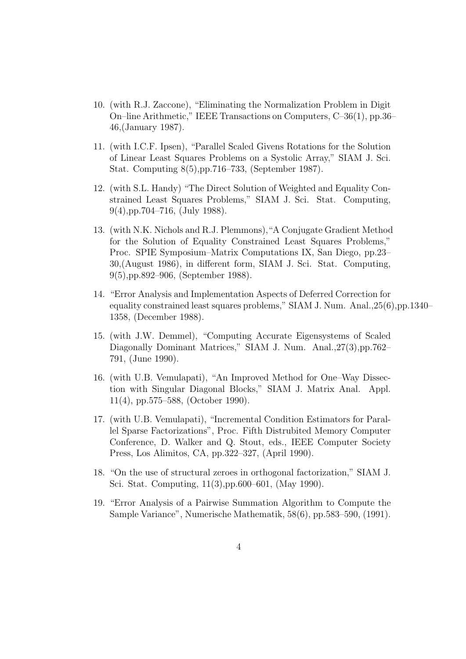- 10. (with R.J. Zaccone), "Eliminating the Normalization Problem in Digit On–line Arithmetic," IEEE Transactions on Computers, C–36(1), pp.36– 46,(January 1987).
- 11. (with I.C.F. Ipsen), "Parallel Scaled Givens Rotations for the Solution of Linear Least Squares Problems on a Systolic Array," SIAM J. Sci. Stat. Computing 8(5),pp.716–733, (September 1987).
- 12. (with S.L. Handy) "The Direct Solution of Weighted and Equality Constrained Least Squares Problems," SIAM J. Sci. Stat. Computing, 9(4),pp.704–716, (July 1988).
- 13. (with N.K. Nichols and R.J. Plemmons),"A Conjugate Gradient Method for the Solution of Equality Constrained Least Squares Problems," Proc. SPIE Symposium–Matrix Computations IX, San Diego, pp.23– 30,(August 1986), in different form, SIAM J. Sci. Stat. Computing, 9(5),pp.892–906, (September 1988).
- 14. "Error Analysis and Implementation Aspects of Deferred Correction for equality constrained least squares problems," SIAM J. Num. Anal.,25(6),pp.1340– 1358, (December 1988).
- 15. (with J.W. Demmel), "Computing Accurate Eigensystems of Scaled Diagonally Dominant Matrices," SIAM J. Num. Anal.,27(3),pp.762– 791, (June 1990).
- 16. (with U.B. Vemulapati), "An Improved Method for One–Way Dissection with Singular Diagonal Blocks," SIAM J. Matrix Anal. Appl. 11(4), pp.575–588, (October 1990).
- 17. (with U.B. Vemulapati), "Incremental Condition Estimators for Parallel Sparse Factorizations", Proc. Fifth Distrubited Memory Computer Conference, D. Walker and Q. Stout, eds., IEEE Computer Society Press, Los Alimitos, CA, pp.322–327, (April 1990).
- 18. "On the use of structural zeroes in orthogonal factorization," SIAM J. Sci. Stat. Computing, 11(3),pp.600–601, (May 1990).
- 19. "Error Analysis of a Pairwise Summation Algorithm to Compute the Sample Variance", Numerische Mathematik, 58(6), pp.583–590, (1991).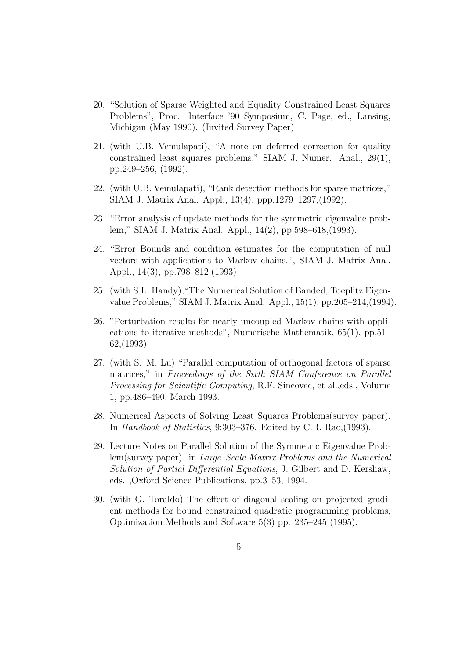- 20. "Solution of Sparse Weighted and Equality Constrained Least Squares Problems", Proc. Interface '90 Symposium, C. Page, ed., Lansing, Michigan (May 1990). (Invited Survey Paper)
- 21. (with U.B. Vemulapati), "A note on deferred correction for quality constrained least squares problems," SIAM J. Numer. Anal., 29(1), pp.249–256, (1992).
- 22. (with U.B. Vemulapati), "Rank detection methods for sparse matrices," SIAM J. Matrix Anal. Appl., 13(4), ppp.1279–1297,(1992).
- 23. "Error analysis of update methods for the symmetric eigenvalue problem," SIAM J. Matrix Anal. Appl., 14(2), pp.598–618,(1993).
- 24. "Error Bounds and condition estimates for the computation of null vectors with applications to Markov chains.", SIAM J. Matrix Anal. Appl., 14(3), pp.798–812,(1993)
- 25. (with S.L. Handy),"The Numerical Solution of Banded, Toeplitz Eigenvalue Problems," SIAM J. Matrix Anal. Appl., 15(1), pp.205–214,(1994).
- 26. "Perturbation results for nearly uncoupled Markov chains with applications to iterative methods", Numerische Mathematik, 65(1), pp.51– 62,(1993).
- 27. (with S.–M. Lu) "Parallel computation of orthogonal factors of sparse matrices," in Proceedings of the Sixth SIAM Conference on Parallel Processing for Scientific Computing, R.F. Sincovec, et al.,eds., Volume 1, pp.486–490, March 1993.
- 28. Numerical Aspects of Solving Least Squares Problems(survey paper). In Handbook of Statistics, 9:303–376. Edited by C.R. Rao,(1993).
- 29. Lecture Notes on Parallel Solution of the Symmetric Eigenvalue Problem(survey paper). in Large–Scale Matrix Problems and the Numerical Solution of Partial Differential Equations, J. Gilbert and D. Kershaw, eds. ,Oxford Science Publications, pp.3–53, 1994.
- 30. (with G. Toraldo) The effect of diagonal scaling on projected gradient methods for bound constrained quadratic programming problems, Optimization Methods and Software 5(3) pp. 235–245 (1995).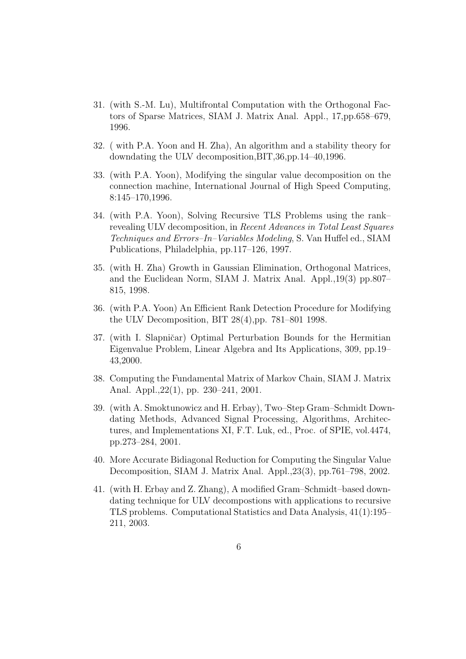- 31. (with S.-M. Lu), Multifrontal Computation with the Orthogonal Factors of Sparse Matrices, SIAM J. Matrix Anal. Appl., 17,pp.658–679, 1996.
- 32. ( with P.A. Yoon and H. Zha), An algorithm and a stability theory for downdating the ULV decomposition,BIT,36,pp.14–40,1996.
- 33. (with P.A. Yoon), Modifying the singular value decomposition on the connection machine, International Journal of High Speed Computing, 8:145–170,1996.
- 34. (with P.A. Yoon), Solving Recursive TLS Problems using the rank– revealing ULV decomposition, in Recent Advances in Total Least Squares Techniques and Errors–In–Variables Modeling, S. Van Huffel ed., SIAM Publications, Philadelphia, pp.117–126, 1997.
- 35. (with H. Zha) Growth in Gaussian Elimination, Orthogonal Matrices, and the Euclidean Norm, SIAM J. Matrix Anal. Appl.,19(3) pp.807– 815, 1998.
- 36. (with P.A. Yoon) An Efficient Rank Detection Procedure for Modifying the ULV Decomposition, BIT 28(4),pp. 781–801 1998.
- 37. (with I. Slapničar) Optimal Perturbation Bounds for the Hermitian Eigenvalue Problem, Linear Algebra and Its Applications, 309, pp.19– 43,2000.
- 38. Computing the Fundamental Matrix of Markov Chain, SIAM J. Matrix Anal. Appl.,22(1), pp. 230–241, 2001.
- 39. (with A. Smoktunowicz and H. Erbay), Two–Step Gram–Schmidt Downdating Methods, Advanced Signal Processing, Algorithms, Architectures, and Implementations XI, F.T. Luk, ed., Proc. of SPIE, vol.4474, pp.273–284, 2001.
- 40. More Accurate Bidiagonal Reduction for Computing the Singular Value Decomposition, SIAM J. Matrix Anal. Appl.,23(3), pp.761–798, 2002.
- 41. (with H. Erbay and Z. Zhang), A modified Gram–Schmidt–based downdating technique for ULV decompostions with applications to recursive TLS problems. Computational Statistics and Data Analysis, 41(1):195– 211, 2003.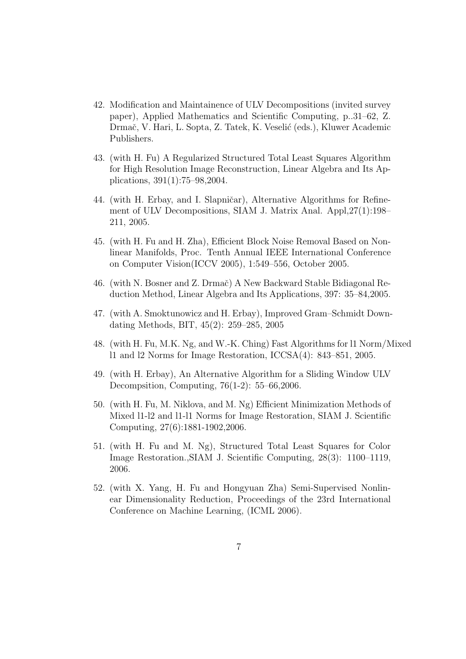- 42. Modification and Maintainence of ULV Decompositions (invited survey paper), Applied Mathematics and Scientific Computing, p..31–62, Z. Drmač, V. Hari, L. Sopta, Z. Tatek, K. Veselić (eds.), Kluwer Academic Publishers.
- 43. (with H. Fu) A Regularized Structured Total Least Squares Algorithm for High Resolution Image Reconstruction, Linear Algebra and Its Applications, 391(1):75–98,2004.
- 44. (with H. Erbay, and I. Slapničar), Alternative Algorithms for Refinement of ULV Decompositions, SIAM J. Matrix Anal. Appl,27(1):198– 211, 2005.
- 45. (with H. Fu and H. Zha), Efficient Block Noise Removal Based on Nonlinear Manifolds, Proc. Tenth Annual IEEE International Conference on Computer Vision(ICCV 2005), 1:549–556, October 2005.
- 46. (with N. Bosner and Z. Drmač) A New Backward Stable Bidiagonal Reduction Method, Linear Algebra and Its Applications, 397: 35–84,2005.
- 47. (with A. Smoktunowicz and H. Erbay), Improved Gram–Schmidt Downdating Methods, BIT, 45(2): 259–285, 2005
- 48. (with H. Fu, M.K. Ng, and W.-K. Ching) Fast Algorithms for l1 Norm/Mixed l1 and l2 Norms for Image Restoration, ICCSA(4): 843–851, 2005.
- 49. (with H. Erbay), An Alternative Algorithm for a Sliding Window ULV Decompsition, Computing, 76(1-2): 55–66,2006.
- 50. (with H. Fu, M. Niklova, and M. Ng) Efficient Minimization Methods of Mixed l1-l2 and l1-l1 Norms for Image Restoration, SIAM J. Scientific Computing, 27(6):1881-1902,2006.
- 51. (with H. Fu and M. Ng), Structured Total Least Squares for Color Image Restoration.,SIAM J. Scientific Computing, 28(3): 1100–1119, 2006.
- 52. (with X. Yang, H. Fu and Hongyuan Zha) Semi-Supervised Nonlinear Dimensionality Reduction, Proceedings of the 23rd International Conference on Machine Learning, (ICML 2006).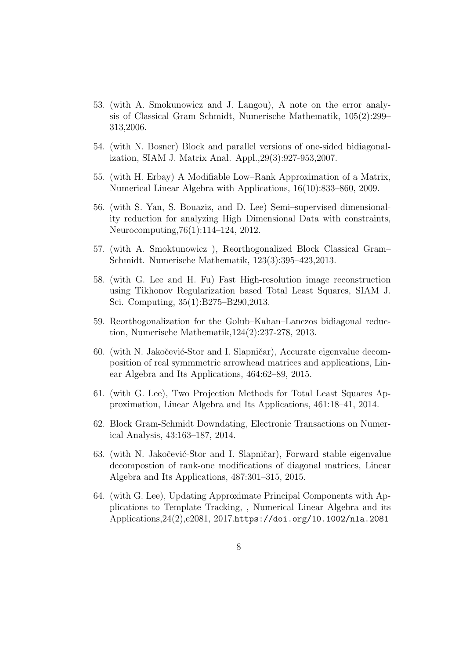- 53. (with A. Smokunowicz and J. Langou), A note on the error analysis of Classical Gram Schmidt, Numerische Mathematik, 105(2):299– 313,2006.
- 54. (with N. Bosner) Block and parallel versions of one-sided bidiagonalization, SIAM J. Matrix Anal. Appl.,29(3):927-953,2007.
- 55. (with H. Erbay) A Modifiable Low–Rank Approximation of a Matrix, Numerical Linear Algebra with Applications, 16(10):833–860, 2009.
- 56. (with S. Yan, S. Bouaziz, and D. Lee) Semi–supervised dimensionality reduction for analyzing High–Dimensional Data with constraints, Neurocomputing,76(1):114–124, 2012.
- 57. (with A. Smoktunowicz ), Reorthogonalized Block Classical Gram– Schmidt. Numerische Mathematik, 123(3):395–423,2013.
- 58. (with G. Lee and H. Fu) Fast High-resolution image reconstruction using Tikhonov Regularization based Total Least Squares, SIAM J. Sci. Computing, 35(1):B275–B290,2013.
- 59. Reorthogonalization for the Golub–Kahan–Lanczos bidiagonal reduction, Numerische Mathematik,124(2):237-278, 2013.
- 60. (with N. Jakočević-Stor and I. Slapničar), Accurate eigenvalue decomposition of real symmmetric arrowhead matrices and applications, Linear Algebra and Its Applications, 464:62–89, 2015.
- 61. (with G. Lee), Two Projection Methods for Total Least Squares Approximation, Linear Algebra and Its Applications, 461:18–41, 2014.
- 62. Block Gram-Schmidt Downdating, Electronic Transactions on Numerical Analysis, 43:163–187, 2014.
- 63. (with N. Jakočević-Stor and I. Slapničar), Forward stable eigenvalue decompostion of rank-one modifications of diagonal matrices, Linear Algebra and Its Applications, 487:301–315, 2015.
- 64. (with G. Lee), Updating Approximate Principal Components with Applications to Template Tracking, , Numerical Linear Algebra and its Applications,24(2),e2081, 2017.https://doi.org/10.1002/nla.2081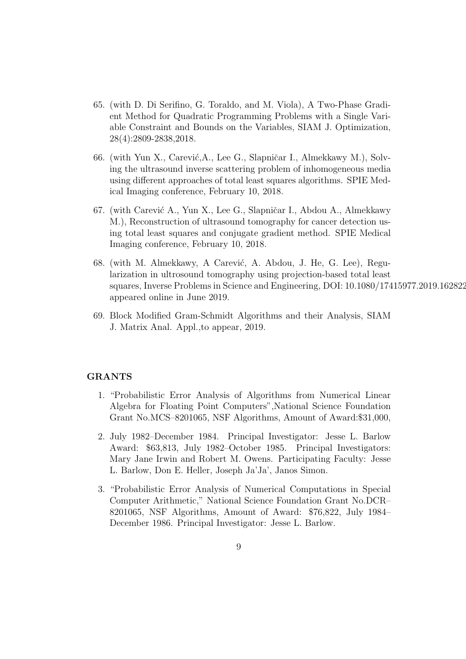- 65. (with D. Di Serifino, G. Toraldo, and M. Viola), A Two-Phase Gradient Method for Quadratic Programming Problems with a Single Variable Constraint and Bounds on the Variables, SIAM J. Optimization, 28(4):2809-2838,2018.
- 66. (with Yun X., Carević, A., Lee G., Slapničar I., Almekkawy M.), Solving the ultrasound inverse scattering problem of inhomogeneous media using different approaches of total least squares algorithms. SPIE Medical Imaging conference, February 10, 2018.
- 67. (with Carević A., Yun X., Lee G., Slapničar I., Abdou A., Almekkawy M.), Reconstruction of ultrasound tomography for cancer detection using total least squares and conjugate gradient method. SPIE Medical Imaging conference, February 10, 2018.
- 68. (with M. Almekkawy, A Carević, A. Abdou, J. He, G. Lee), Regularization in ultrosound tomography using projection-based total least squares, Inverse Problems in Science and Engineering, DOI: 10.1080/17415977.2019.1628227, appeared online in June 2019.
- 69. Block Modified Gram-Schmidt Algorithms and their Analysis, SIAM J. Matrix Anal. Appl.,to appear, 2019.

## GRANTS

- 1. "Probabilistic Error Analysis of Algorithms from Numerical Linear Algebra for Floating Point Computers",National Science Foundation Grant No.MCS–8201065, NSF Algorithms, Amount of Award:\$31,000,
- 2. July 1982–December 1984. Principal Investigator: Jesse L. Barlow Award: \$63,813, July 1982–October 1985. Principal Investigators: Mary Jane Irwin and Robert M. Owens. Participating Faculty: Jesse L. Barlow, Don E. Heller, Joseph Ja'Ja', Janos Simon.
- 3. "Probabilistic Error Analysis of Numerical Computations in Special Computer Arithmetic," National Science Foundation Grant No.DCR– 8201065, NSF Algorithms, Amount of Award: \$76,822, July 1984– December 1986. Principal Investigator: Jesse L. Barlow.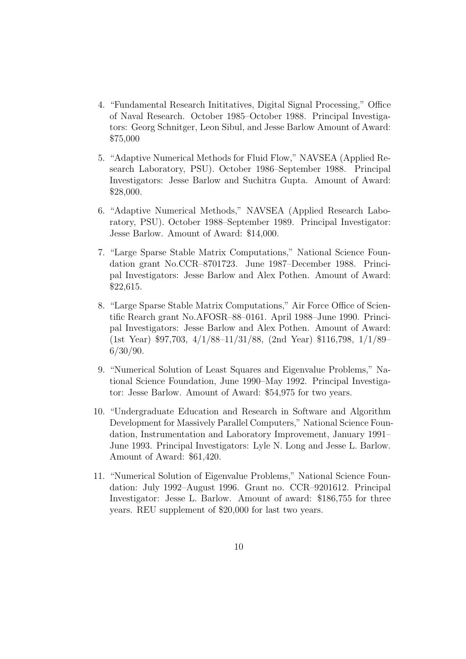- 4. "Fundamental Research Inititatives, Digital Signal Processing," Office of Naval Research. October 1985–October 1988. Principal Investigators: Georg Schnitger, Leon Sibul, and Jesse Barlow Amount of Award: \$75,000
- 5. "Adaptive Numerical Methods for Fluid Flow," NAVSEA (Applied Research Laboratory, PSU). October 1986–September 1988. Principal Investigators: Jesse Barlow and Suchitra Gupta. Amount of Award: \$28,000.
- 6. "Adaptive Numerical Methods," NAVSEA (Applied Research Laboratory, PSU). October 1988–September 1989. Principal Investigator: Jesse Barlow. Amount of Award: \$14,000.
- 7. "Large Sparse Stable Matrix Computations," National Science Foundation grant No.CCR–8701723. June 1987–December 1988. Principal Investigators: Jesse Barlow and Alex Pothen. Amount of Award: \$22,615.
- 8. "Large Sparse Stable Matrix Computations," Air Force Office of Scientific Rearch grant No.AFOSR–88–0161. April 1988–June 1990. Principal Investigators: Jesse Barlow and Alex Pothen. Amount of Award: (1st Year) \$97,703, 4/1/88–11/31/88, (2nd Year) \$116,798, 1/1/89– 6/30/90.
- 9. "Numerical Solution of Least Squares and Eigenvalue Problems," National Science Foundation, June 1990–May 1992. Principal Investigator: Jesse Barlow. Amount of Award: \$54,975 for two years.
- 10. "Undergraduate Education and Research in Software and Algorithm Development for Massively Parallel Computers," National Science Foundation, Instrumentation and Laboratory Improvement, January 1991– June 1993. Principal Investigators: Lyle N. Long and Jesse L. Barlow. Amount of Award: \$61,420.
- 11. "Numerical Solution of Eigenvalue Problems," National Science Foundation: July 1992–August 1996. Grant no. CCR–9201612. Principal Investigator: Jesse L. Barlow. Amount of award: \$186,755 for three years. REU supplement of \$20,000 for last two years.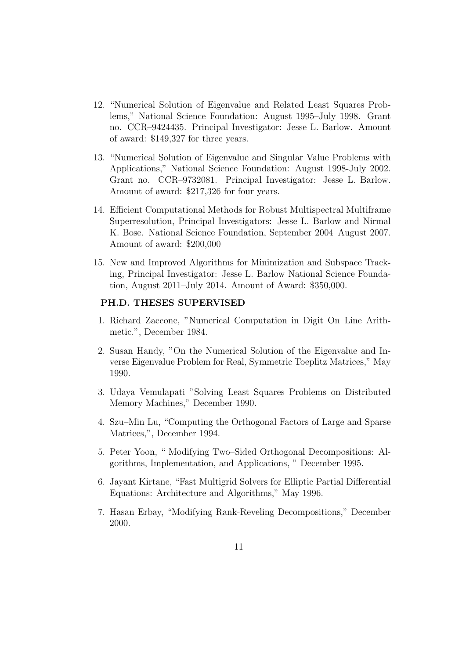- 12. "Numerical Solution of Eigenvalue and Related Least Squares Problems," National Science Foundation: August 1995–July 1998. Grant no. CCR–9424435. Principal Investigator: Jesse L. Barlow. Amount of award: \$149,327 for three years.
- 13. "Numerical Solution of Eigenvalue and Singular Value Problems with Applications," National Science Foundation: August 1998-July 2002. Grant no. CCR–9732081. Principal Investigator: Jesse L. Barlow. Amount of award: \$217,326 for four years.
- 14. Efficient Computational Methods for Robust Multispectral Multiframe Superresolution, Principal Investigators: Jesse L. Barlow and Nirmal K. Bose. National Science Foundation, September 2004–August 2007. Amount of award: \$200,000
- 15. New and Improved Algorithms for Minimization and Subspace Tracking, Principal Investigator: Jesse L. Barlow National Science Foundation, August 2011–July 2014. Amount of Award: \$350,000.

#### PH.D. THESES SUPERVISED

- 1. Richard Zaccone, "Numerical Computation in Digit On–Line Arithmetic.", December 1984.
- 2. Susan Handy, "On the Numerical Solution of the Eigenvalue and Inverse Eigenvalue Problem for Real, Symmetric Toeplitz Matrices," May 1990.
- 3. Udaya Vemulapati "Solving Least Squares Problems on Distributed Memory Machines," December 1990.
- 4. Szu–Min Lu, "Computing the Orthogonal Factors of Large and Sparse Matrices,", December 1994.
- 5. Peter Yoon, " Modifying Two–Sided Orthogonal Decompositions: Algorithms, Implementation, and Applications, " December 1995.
- 6. Jayant Kirtane, "Fast Multigrid Solvers for Elliptic Partial Differential Equations: Architecture and Algorithms," May 1996.
- 7. Hasan Erbay, "Modifying Rank-Reveling Decompositions," December 2000.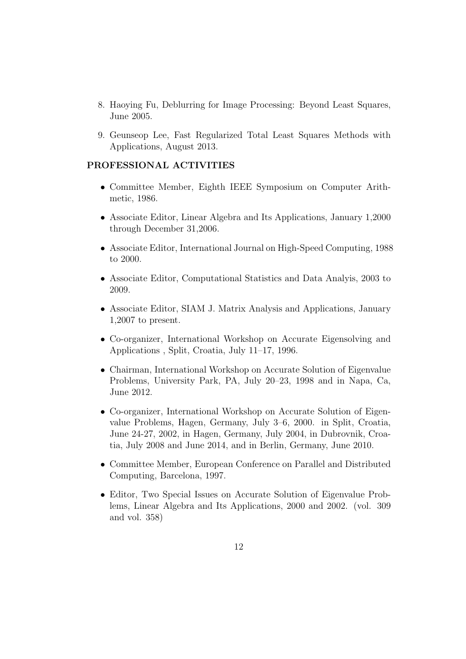- 8. Haoying Fu, Deblurring for Image Processing: Beyond Least Squares, June 2005.
- 9. Geunseop Lee, Fast Regularized Total Least Squares Methods with Applications, August 2013.

## PROFESSIONAL ACTIVITIES

- Committee Member, Eighth IEEE Symposium on Computer Arithmetic, 1986.
- Associate Editor, Linear Algebra and Its Applications, January 1,2000 through December 31,2006.
- Associate Editor, International Journal on High-Speed Computing, 1988 to 2000.
- Associate Editor, Computational Statistics and Data Analyis, 2003 to 2009.
- Associate Editor, SIAM J. Matrix Analysis and Applications, January 1,2007 to present.
- Co-organizer, International Workshop on Accurate Eigensolving and Applications , Split, Croatia, July 11–17, 1996.
- Chairman, International Workshop on Accurate Solution of Eigenvalue Problems, University Park, PA, July 20–23, 1998 and in Napa, Ca, June 2012.
- Co-organizer, International Workshop on Accurate Solution of Eigenvalue Problems, Hagen, Germany, July 3–6, 2000. in Split, Croatia, June 24-27, 2002, in Hagen, Germany, July 2004, in Dubrovnik, Croatia, July 2008 and June 2014, and in Berlin, Germany, June 2010.
- Committee Member, European Conference on Parallel and Distributed Computing, Barcelona, 1997.
- Editor, Two Special Issues on Accurate Solution of Eigenvalue Problems, Linear Algebra and Its Applications, 2000 and 2002. (vol. 309 and vol. 358)